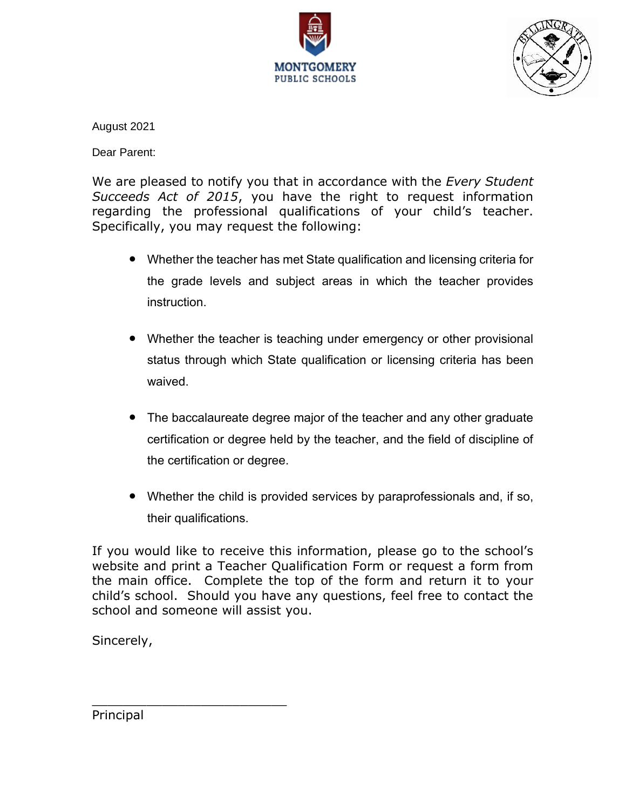



August 2021

Dear Parent:

We are pleased to notify you that in accordance with the *Every Student Succeeds Act of 2015*, you have the right to request information regarding the professional qualifications of your child's teacher. Specifically, you may request the following:

- Whether the teacher has met State qualification and licensing criteria for the grade levels and subject areas in which the teacher provides instruction.
- Whether the teacher is teaching under emergency or other provisional status through which State qualification or licensing criteria has been waived.
- The baccalaureate degree major of the teacher and any other graduate certification or degree held by the teacher, and the field of discipline of the certification or degree.
- Whether the child is provided services by paraprofessionals and, if so, their qualifications.

If you would like to receive this information, please go to the school's website and print a Teacher Qualification Form or request a form from the main office. Complete the top of the form and return it to your child's school. Should you have any questions, feel free to contact the school and someone will assist you.

Sincerely,

Principal

\_\_\_\_\_\_\_\_\_\_\_\_\_\_\_\_\_\_\_\_\_\_\_\_\_